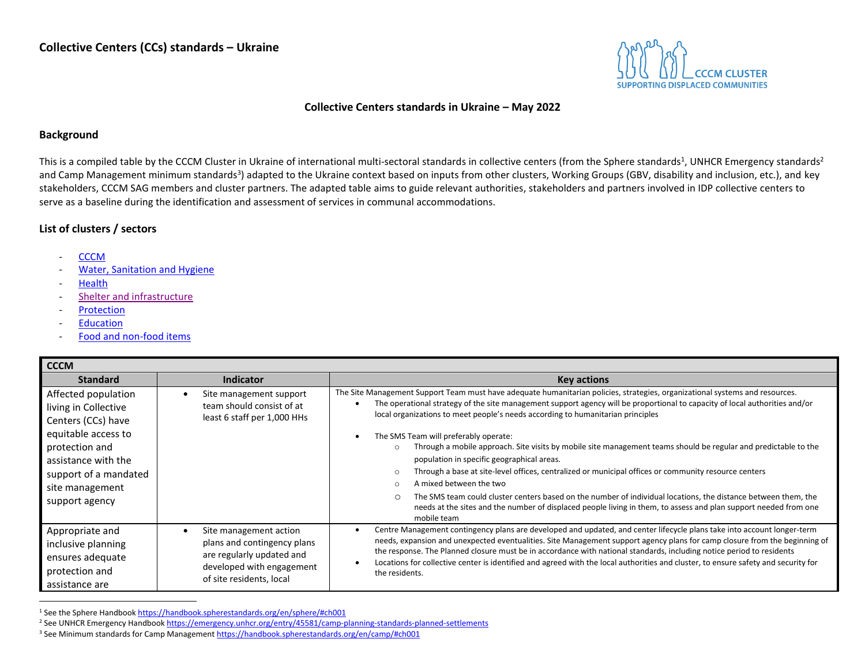

## **Collective Centers standards in Ukraine – May 2022**

## **Background**

This is a compiled table by the CCCM Cluster in Ukraine of international multi-sectoral standards in collective centers (from the Sphere standards<sup>1</sup>, UNHCR Emergency standards<sup>2</sup> and Camp Management minimum standards<sup>3</sup>) adapted to the Ukraine context based on inputs from other clusters, Working Groups (GBV, disability and inclusion, etc.), and key stakeholders, CCCM SAG members and cluster partners. The adapted table aims to guide relevant authorities, stakeholders and partners involved in IDP collective centers to serve as a baseline during the identification and assessment of services in communal accommodations.

## **List of clusters / sectors**

- **[CCCM](#page-0-0)**
- [Water, Sanitation and Hygiene](#page-4-0)
- **[Health](#page-6-0)**
- [Shelter and infrastructure](#page-6-1)
- **[Protection](#page-7-0)**
- **[Education](#page-9-0)**
- [Food and non-food items](#page-9-1)

<span id="page-0-0"></span>

| <b>CCCM</b>                                                                                                                                                                                     |                                                                                                                                                          |                                                                                                                                                                                                                                                                                                                                                                                                                                                                                                                                                                                                                                                                                                                                                                                                                                                                                                                                                                                   |
|-------------------------------------------------------------------------------------------------------------------------------------------------------------------------------------------------|----------------------------------------------------------------------------------------------------------------------------------------------------------|-----------------------------------------------------------------------------------------------------------------------------------------------------------------------------------------------------------------------------------------------------------------------------------------------------------------------------------------------------------------------------------------------------------------------------------------------------------------------------------------------------------------------------------------------------------------------------------------------------------------------------------------------------------------------------------------------------------------------------------------------------------------------------------------------------------------------------------------------------------------------------------------------------------------------------------------------------------------------------------|
| <b>Standard</b>                                                                                                                                                                                 | <b>Indicator</b>                                                                                                                                         | <b>Key actions</b>                                                                                                                                                                                                                                                                                                                                                                                                                                                                                                                                                                                                                                                                                                                                                                                                                                                                                                                                                                |
| Affected population<br>living in Collective<br>Centers (CCs) have<br>equitable access to<br>protection and<br>assistance with the<br>support of a mandated<br>site management<br>support agency | Site management support<br>team should consist of at<br>least 6 staff per 1,000 HHs                                                                      | The Site Management Support Team must have adequate humanitarian policies, strategies, organizational systems and resources.<br>The operational strategy of the site management support agency will be proportional to capacity of local authorities and/or<br>local organizations to meet people's needs according to humanitarian principles<br>The SMS Team will preferably operate:<br>Through a mobile approach. Site visits by mobile site management teams should be regular and predictable to the<br>$\circ$<br>population in specific geographical areas.<br>Through a base at site-level offices, centralized or municipal offices or community resource centers<br>A mixed between the two<br>$\circ$<br>The SMS team could cluster centers based on the number of individual locations, the distance between them, the<br>$\circ$<br>needs at the sites and the number of displaced people living in them, to assess and plan support needed from one<br>mobile team |
| Appropriate and<br>inclusive planning<br>ensures adequate<br>protection and<br>assistance are                                                                                                   | Site management action<br>$\bullet$<br>plans and contingency plans<br>are regularly updated and<br>developed with engagement<br>of site residents, local | Centre Management contingency plans are developed and updated, and center lifecycle plans take into account longer-term<br>needs, expansion and unexpected eventualities. Site Management support agency plans for camp closure from the beginning of<br>the response. The Planned closure must be in accordance with national standards, including notice period to residents<br>Locations for collective center is identified and agreed with the local authorities and cluster, to ensure safety and security for<br>the residents.                                                                                                                                                                                                                                                                                                                                                                                                                                            |

<sup>1</sup> See the Sphere Handboo[k https://handbook.spherestandards.org/en/sphere/#ch001](https://handbook.spherestandards.org/en/sphere/#ch001)

<sup>2</sup> See UNHCR Emergency Handboo[k https://emergency.unhcr.org/entry/45581/camp-planning-standards-planned-settlements](https://emergency.unhcr.org/entry/45581/camp-planning-standards-planned-settlements)

<sup>3</sup> See Minimum standards for Camp Managemen[t https://handbook.spherestandards.org/en/camp/#ch001](https://handbook.spherestandards.org/en/camp/#ch001)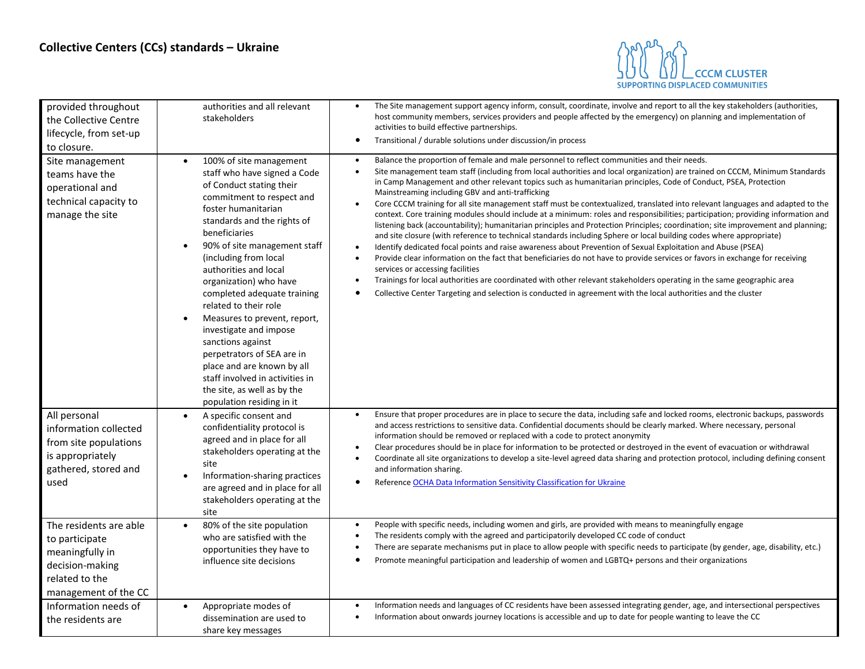

| provided throughout<br>the Collective Centre<br>lifecycle, from set-up<br>to closure.                                    | authorities and all relevant<br>stakeholders                                                                                                                                                                                                                                                                                                                                                                                                                                                                                                                                                                                    | The Site management support agency inform, consult, coordinate, involve and report to all the key stakeholders (authorities,<br>host community members, services providers and people affected by the emergency) on planning and implementation of<br>activities to build effective partnerships.<br>Transitional / durable solutions under discussion/in process<br>٠                                                                                                                                                                                                                                                                                                                                                                                                                                                                                                                                                                                                                                                                                                                                                                                                                                                                                                                                                                                                                                                                                                                       |
|--------------------------------------------------------------------------------------------------------------------------|---------------------------------------------------------------------------------------------------------------------------------------------------------------------------------------------------------------------------------------------------------------------------------------------------------------------------------------------------------------------------------------------------------------------------------------------------------------------------------------------------------------------------------------------------------------------------------------------------------------------------------|----------------------------------------------------------------------------------------------------------------------------------------------------------------------------------------------------------------------------------------------------------------------------------------------------------------------------------------------------------------------------------------------------------------------------------------------------------------------------------------------------------------------------------------------------------------------------------------------------------------------------------------------------------------------------------------------------------------------------------------------------------------------------------------------------------------------------------------------------------------------------------------------------------------------------------------------------------------------------------------------------------------------------------------------------------------------------------------------------------------------------------------------------------------------------------------------------------------------------------------------------------------------------------------------------------------------------------------------------------------------------------------------------------------------------------------------------------------------------------------------|
| Site management<br>teams have the<br>operational and<br>technical capacity to<br>manage the site                         | 100% of site management<br>$\bullet$<br>staff who have signed a Code<br>of Conduct stating their<br>commitment to respect and<br>foster humanitarian<br>standards and the rights of<br>beneficiaries<br>90% of site management staff<br>$\bullet$<br>(including from local<br>authorities and local<br>organization) who have<br>completed adequate training<br>related to their role<br>Measures to prevent, report,<br>investigate and impose<br>sanctions against<br>perpetrators of SEA are in<br>place and are known by all<br>staff involved in activities in<br>the site, as well as by the<br>population residing in it | Balance the proportion of female and male personnel to reflect communities and their needs.<br>Site management team staff (including from local authorities and local organization) are trained on CCCM, Minimum Standards<br>in Camp Management and other relevant topics such as humanitarian principles, Code of Conduct, PSEA, Protection<br>Mainstreaming including GBV and anti-trafficking<br>Core CCCM training for all site management staff must be contextualized, translated into relevant languages and adapted to the<br>$\bullet$<br>context. Core training modules should include at a minimum: roles and responsibilities; participation; providing information and<br>listening back (accountability); humanitarian principles and Protection Principles; coordination; site improvement and planning;<br>and site closure (with reference to technical standards including Sphere or local building codes where appropriate)<br>Identify dedicated focal points and raise awareness about Prevention of Sexual Exploitation and Abuse (PSEA)<br>$\bullet$<br>Provide clear information on the fact that beneficiaries do not have to provide services or favors in exchange for receiving<br>services or accessing facilities<br>Trainings for local authorities are coordinated with other relevant stakeholders operating in the same geographic area<br>Collective Center Targeting and selection is conducted in agreement with the local authorities and the cluster |
| All personal<br>information collected<br>from site populations<br>is appropriately<br>gathered, stored and<br>used       | A specific consent and<br>$\bullet$<br>confidentiality protocol is<br>agreed and in place for all<br>stakeholders operating at the<br>site<br>Information-sharing practices<br>are agreed and in place for all<br>stakeholders operating at the<br>site                                                                                                                                                                                                                                                                                                                                                                         | Ensure that proper procedures are in place to secure the data, including safe and locked rooms, electronic backups, passwords<br>and access restrictions to sensitive data. Confidential documents should be clearly marked. Where necessary, personal<br>information should be removed or replaced with a code to protect anonymity<br>Clear procedures should be in place for information to be protected or destroyed in the event of evacuation or withdrawal<br>Coordinate all site organizations to develop a site-level agreed data sharing and protection protocol, including defining consent<br>and information sharing.<br>Reference OCHA Data Information Sensitivity Classification for Ukraine                                                                                                                                                                                                                                                                                                                                                                                                                                                                                                                                                                                                                                                                                                                                                                                 |
| The residents are able<br>to participate<br>meaningfully in<br>decision-making<br>related to the<br>management of the CC | 80% of the site population<br>$\bullet$<br>who are satisfied with the<br>opportunities they have to<br>influence site decisions                                                                                                                                                                                                                                                                                                                                                                                                                                                                                                 | People with specific needs, including women and girls, are provided with means to meaningfully engage<br>The residents comply with the agreed and participatorily developed CC code of conduct<br>There are separate mechanisms put in place to allow people with specific needs to participate (by gender, age, disability, etc.)<br>Promote meaningful participation and leadership of women and LGBTQ+ persons and their organizations                                                                                                                                                                                                                                                                                                                                                                                                                                                                                                                                                                                                                                                                                                                                                                                                                                                                                                                                                                                                                                                    |
| Information needs of<br>the residents are                                                                                | Appropriate modes of<br>$\bullet$<br>dissemination are used to<br>share key messages                                                                                                                                                                                                                                                                                                                                                                                                                                                                                                                                            | Information needs and languages of CC residents have been assessed integrating gender, age, and intersectional perspectives<br>Information about onwards journey locations is accessible and up to date for people wanting to leave the CC                                                                                                                                                                                                                                                                                                                                                                                                                                                                                                                                                                                                                                                                                                                                                                                                                                                                                                                                                                                                                                                                                                                                                                                                                                                   |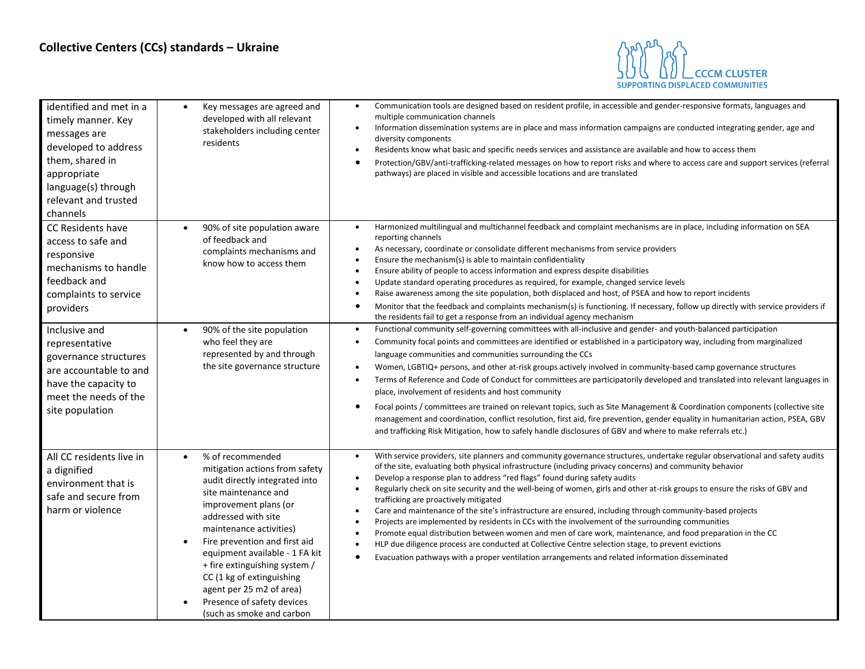

| identified and met in a<br>timely manner. Key<br>messages are<br>developed to address<br>them, shared in<br>appropriate<br>language(s) through<br>relevant and trusted<br>channels | Key messages are agreed and<br>$\bullet$<br>developed with all relevant<br>stakeholders including center<br>residents                                                                                                                                                                                                                                                                                                                     | Communication tools are designed based on resident profile, in accessible and gender-responsive formats, languages and<br>$\bullet$<br>multiple communication channels<br>Information dissemination systems are in place and mass information campaigns are conducted integrating gender, age and<br>$\bullet$<br>diversity components<br>Residents know what basic and specific needs services and assistance are available and how to access them<br>٠<br>Protection/GBV/anti-trafficking-related messages on how to report risks and where to access care and support services (referral<br>$\bullet$<br>pathways) are placed in visible and accessible locations and are translated                                                                                                                                                                                                                                                                                                                                                                                                                             |
|------------------------------------------------------------------------------------------------------------------------------------------------------------------------------------|-------------------------------------------------------------------------------------------------------------------------------------------------------------------------------------------------------------------------------------------------------------------------------------------------------------------------------------------------------------------------------------------------------------------------------------------|---------------------------------------------------------------------------------------------------------------------------------------------------------------------------------------------------------------------------------------------------------------------------------------------------------------------------------------------------------------------------------------------------------------------------------------------------------------------------------------------------------------------------------------------------------------------------------------------------------------------------------------------------------------------------------------------------------------------------------------------------------------------------------------------------------------------------------------------------------------------------------------------------------------------------------------------------------------------------------------------------------------------------------------------------------------------------------------------------------------------|
| CC Residents have<br>access to safe and<br>responsive<br>mechanisms to handle<br>feedback and<br>complaints to service<br>providers                                                | 90% of site population aware<br>$\bullet$<br>of feedback and<br>complaints mechanisms and<br>know how to access them                                                                                                                                                                                                                                                                                                                      | Harmonized multilingual and multichannel feedback and complaint mechanisms are in place, including information on SEA<br>reporting channels<br>As necessary, coordinate or consolidate different mechanisms from service providers<br>Ensure the mechanism(s) is able to maintain confidentiality<br>Ensure ability of people to access information and express despite disabilities<br>Update standard operating procedures as required, for example, changed service levels<br>Raise awareness among the site population, both displaced and host, of PSEA and how to report incidents<br>$\bullet$<br>Monitor that the feedback and complaints mechanism(s) is functioning. If necessary, follow up directly with service providers if<br>$\bullet$<br>the residents fail to get a response from an individual agency mechanism                                                                                                                                                                                                                                                                                  |
| Inclusive and<br>representative<br>governance structures<br>are accountable to and<br>have the capacity to<br>meet the needs of the<br>site population                             | 90% of the site population<br>$\bullet$<br>who feel they are<br>represented by and through<br>the site governance structure                                                                                                                                                                                                                                                                                                               | Functional community self-governing committees with all-inclusive and gender- and youth-balanced participation<br>$\bullet$<br>Community focal points and committees are identified or established in a participatory way, including from marginalized<br>$\bullet$<br>language communities and communities surrounding the CCs<br>Women, LGBTIQ+ persons, and other at-risk groups actively involved in community-based camp governance structures<br>Terms of Reference and Code of Conduct for committees are participatorily developed and translated into relevant languages in<br>$\bullet$<br>place, involvement of residents and host community<br>Focal points / committees are trained on relevant topics, such as Site Management & Coordination components (collective site<br>٠<br>management and coordination, conflict resolution, first aid, fire prevention, gender equality in humanitarian action, PSEA, GBV<br>and trafficking Risk Mitigation, how to safely handle disclosures of GBV and where to make referrals etc.)                                                                       |
| All CC residents live in<br>a dignified<br>environment that is<br>safe and secure from<br>harm or violence                                                                         | % of recommended<br>$\bullet$<br>mitigation actions from safety<br>audit directly integrated into<br>site maintenance and<br>improvement plans (or<br>addressed with site<br>maintenance activities)<br>Fire prevention and first aid<br>$\bullet$<br>equipment available - 1 FA kit<br>+ fire extinguishing system /<br>CC (1 kg of extinguishing<br>agent per 25 m2 of area)<br>Presence of safety devices<br>(such as smoke and carbon | With service providers, site planners and community governance structures, undertake regular observational and safety audits<br>$\bullet$<br>of the site, evaluating both physical infrastructure (including privacy concerns) and community behavior<br>Develop a response plan to address "red flags" found during safety audits<br>$\bullet$<br>Regularly check on site security and the well-being of women, girls and other at-risk groups to ensure the risks of GBV and<br>trafficking are proactively mitigated<br>Care and maintenance of the site's infrastructure are ensured, including through community-based projects<br>$\bullet$<br>Projects are implemented by residents in CCs with the involvement of the surrounding communities<br>$\bullet$<br>Promote equal distribution between women and men of care work, maintenance, and food preparation in the CC<br>HLP due diligence process are conducted at Collective Centre selection stage, to prevent evictions<br>$\bullet$<br>Evacuation pathways with a proper ventilation arrangements and related information disseminated<br>$\bullet$ |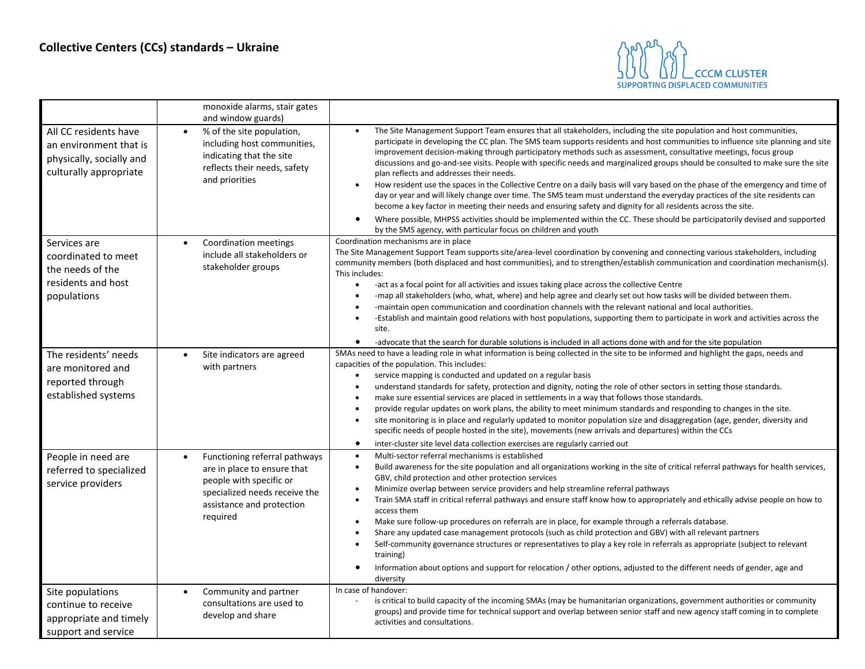

|                                                                                                       | monoxide alarms, stair gates<br>and window guards)                                                                                                                             |                                                                                                                                                                                                                                                                                                                                                                                                                                                                                                                                                                                                                                                                                                                                                                                                                                                                                                                                                                                                                                                  |
|-------------------------------------------------------------------------------------------------------|--------------------------------------------------------------------------------------------------------------------------------------------------------------------------------|--------------------------------------------------------------------------------------------------------------------------------------------------------------------------------------------------------------------------------------------------------------------------------------------------------------------------------------------------------------------------------------------------------------------------------------------------------------------------------------------------------------------------------------------------------------------------------------------------------------------------------------------------------------------------------------------------------------------------------------------------------------------------------------------------------------------------------------------------------------------------------------------------------------------------------------------------------------------------------------------------------------------------------------------------|
| All CC residents have<br>an environment that is<br>physically, socially and<br>culturally appropriate | % of the site population,<br>$\bullet$<br>including host communities,<br>indicating that the site<br>reflects their needs, safety<br>and priorities                            | The Site Management Support Team ensures that all stakeholders, including the site population and host communities,<br>participate in developing the CC plan. The SMS team supports residents and host communities to influence site planning and site<br>improvement decision-making through participatory methods such as assessment, consultative meetings, focus group<br>discussions and go-and-see visits. People with specific needs and marginalized groups should be consulted to make sure the site<br>plan reflects and addresses their needs.<br>How resident use the spaces in the Collective Centre on a daily basis will vary based on the phase of the emergency and time of<br>$\bullet$<br>day or year and will likely change over time. The SMS team must understand the everyday practices of the site residents can<br>become a key factor in meeting their needs and ensuring safety and dignity for all residents across the site.                                                                                        |
|                                                                                                       |                                                                                                                                                                                | Where possible, MHPSS activities should be implemented within the CC. These should be participatorily devised and supported<br>by the SMS agency, with particular focus on children and youth                                                                                                                                                                                                                                                                                                                                                                                                                                                                                                                                                                                                                                                                                                                                                                                                                                                    |
| Services are<br>coordinated to meet<br>the needs of the<br>residents and host<br>populations          | Coordination meetings<br>$\bullet$<br>include all stakeholders or<br>stakeholder groups                                                                                        | Coordination mechanisms are in place<br>The Site Management Support Team supports site/area-level coordination by convening and connecting various stakeholders, including<br>community members (both displaced and host communities), and to strengthen/establish communication and coordination mechanism(s).<br>This includes:<br>-act as a focal point for all activities and issues taking place across the collective Centre<br>$\bullet$<br>-map all stakeholders (who, what, where) and help agree and clearly set out how tasks will be divided between them.<br>-maintain open communication and coordination channels with the relevant national and local authorities.<br>$\bullet$<br>-Establish and maintain good relations with host populations, supporting them to participate in work and activities across the<br>site.<br>-advocate that the search for durable solutions is included in all actions done with and for the site population<br>$\bullet$                                                                      |
| The residents' needs<br>are monitored and<br>reported through<br>established systems                  | Site indicators are agreed<br>$\bullet$<br>with partners                                                                                                                       | SMAs need to have a leading role in what information is being collected in the site to be informed and highlight the gaps, needs and<br>capacities of the population. This includes:<br>service mapping is conducted and updated on a regular basis<br>$\bullet$<br>understand standards for safety, protection and dignity, noting the role of other sectors in setting those standards.<br>$\bullet$<br>make sure essential services are placed in settlements in a way that follows those standards.<br>provide regular updates on work plans, the ability to meet minimum standards and responding to changes in the site.<br>$\bullet$<br>site monitoring is in place and regularly updated to monitor population size and disaggregation (age, gender, diversity and<br>specific needs of people hosted in the site), movements (new arrivals and departures) within the CCs<br>$\bullet$<br>inter-cluster site level data collection exercises are regularly carried out                                                                  |
| People in need are<br>referred to specialized<br>service providers                                    | Functioning referral pathways<br>$\bullet$<br>are in place to ensure that<br>people with specific or<br>specialized needs receive the<br>assistance and protection<br>required | Multi-sector referral mechanisms is established<br>$\bullet$<br>Build awareness for the site population and all organizations working in the site of critical referral pathways for health services,<br>$\bullet$<br>GBV, child protection and other protection services<br>Minimize overlap between service providers and help streamline referral pathways<br>Train SMA staff in critical referral pathways and ensure staff know how to appropriately and ethically advise people on how to<br>access them<br>Make sure follow-up procedures on referrals are in place, for example through a referrals database.<br>$\bullet$<br>Share any updated case management protocols (such as child protection and GBV) with all relevant partners<br>Self-community governance structures or representatives to play a key role in referrals as appropriate (subject to relevant<br>$\bullet$<br>training)<br>Information about options and support for relocation / other options, adjusted to the different needs of gender, age and<br>diversity |
| Site populations<br>continue to receive<br>appropriate and timely<br>support and service              | Community and partner<br>$\bullet$<br>consultations are used to<br>develop and share                                                                                           | In case of handover:<br>is critical to build capacity of the incoming SMAs (may be humanitarian organizations, government authorities or community<br>groups) and provide time for technical support and overlap between senior staff and new agency staff coming in to complete<br>activities and consultations.                                                                                                                                                                                                                                                                                                                                                                                                                                                                                                                                                                                                                                                                                                                                |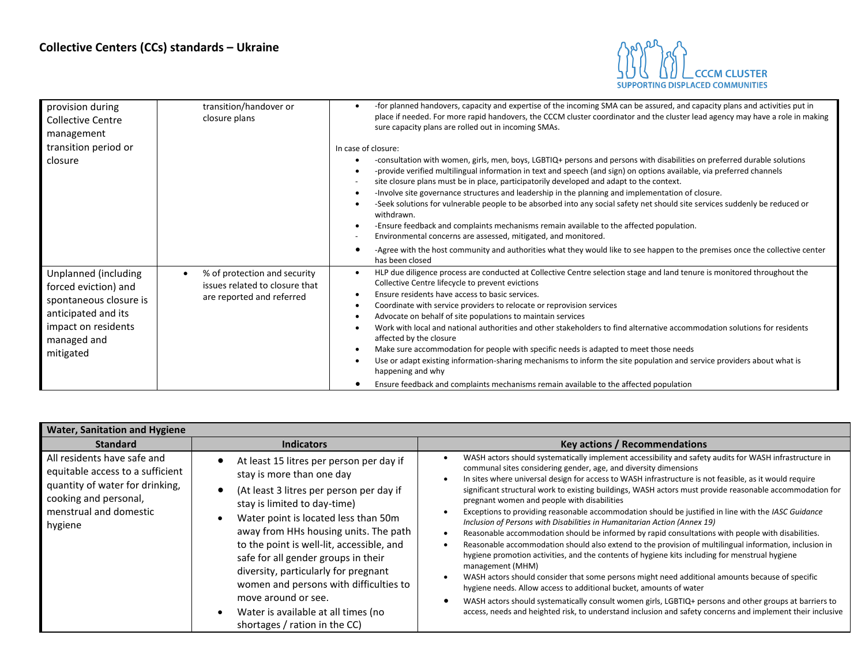

| provision during<br><b>Collective Centre</b><br>management<br>transition period or<br>closure                                                    | transition/handover or<br>closure plans                                                     | -for planned handovers, capacity and expertise of the incoming SMA can be assured, and capacity plans and activities put in<br>place if needed. For more rapid handovers, the CCCM cluster coordinator and the cluster lead agency may have a role in making<br>sure capacity plans are rolled out in incoming SMAs.<br>In case of closure:<br>-consultation with women, girls, men, boys, LGBTIQ+ persons and persons with disabilities on preferred durable solutions<br>-provide verified multilingual information in text and speech (and sign) on options available, via preferred channels<br>site closure plans must be in place, participatorily developed and adapt to the context.<br>-Involve site governance structures and leadership in the planning and implementation of closure.<br>-Seek solutions for vulnerable people to be absorbed into any social safety net should site services suddenly be reduced or<br>withdrawn.<br>-Ensure feedback and complaints mechanisms remain available to the affected population.<br>Environmental concerns are assessed, mitigated, and monitored. |
|--------------------------------------------------------------------------------------------------------------------------------------------------|---------------------------------------------------------------------------------------------|-------------------------------------------------------------------------------------------------------------------------------------------------------------------------------------------------------------------------------------------------------------------------------------------------------------------------------------------------------------------------------------------------------------------------------------------------------------------------------------------------------------------------------------------------------------------------------------------------------------------------------------------------------------------------------------------------------------------------------------------------------------------------------------------------------------------------------------------------------------------------------------------------------------------------------------------------------------------------------------------------------------------------------------------------------------------------------------------------------------|
|                                                                                                                                                  |                                                                                             | -Agree with the host community and authorities what they would like to see happen to the premises once the collective center<br>has been closed                                                                                                                                                                                                                                                                                                                                                                                                                                                                                                                                                                                                                                                                                                                                                                                                                                                                                                                                                             |
| Unplanned (including<br>forced eviction) and<br>spontaneous closure is<br>anticipated and its<br>impact on residents<br>managed and<br>mitigated | % of protection and security<br>issues related to closure that<br>are reported and referred | HLP due diligence process are conducted at Collective Centre selection stage and land tenure is monitored throughout the<br>Collective Centre lifecycle to prevent evictions<br>Ensure residents have access to basic services.<br>Coordinate with service providers to relocate or reprovision services<br>Advocate on behalf of site populations to maintain services<br>Work with local and national authorities and other stakeholders to find alternative accommodation solutions for residents<br>affected by the closure<br>Make sure accommodation for people with specific needs is adapted to meet those needs<br>Use or adapt existing information-sharing mechanisms to inform the site population and service providers about what is<br>happening and why<br>Ensure feedback and complaints mechanisms remain available to the affected population                                                                                                                                                                                                                                            |

<span id="page-4-0"></span>

| <b>Water, Sanitation and Hygiene</b>                                                                                                                             |                                                                                                                                                                                                                                                                                                                                                                                                                                                                                                              |                                                                                                                                                                                                                                                                                                                                                                                                                                                                                                                                                                                                                                                                                                                                                                                                                                                                                                                                                                                                                                                                                                                                                                                                                                                                                                                                                                          |
|------------------------------------------------------------------------------------------------------------------------------------------------------------------|--------------------------------------------------------------------------------------------------------------------------------------------------------------------------------------------------------------------------------------------------------------------------------------------------------------------------------------------------------------------------------------------------------------------------------------------------------------------------------------------------------------|--------------------------------------------------------------------------------------------------------------------------------------------------------------------------------------------------------------------------------------------------------------------------------------------------------------------------------------------------------------------------------------------------------------------------------------------------------------------------------------------------------------------------------------------------------------------------------------------------------------------------------------------------------------------------------------------------------------------------------------------------------------------------------------------------------------------------------------------------------------------------------------------------------------------------------------------------------------------------------------------------------------------------------------------------------------------------------------------------------------------------------------------------------------------------------------------------------------------------------------------------------------------------------------------------------------------------------------------------------------------------|
| <b>Standard</b>                                                                                                                                                  | <b>Indicators</b>                                                                                                                                                                                                                                                                                                                                                                                                                                                                                            | <b>Key actions / Recommendations</b>                                                                                                                                                                                                                                                                                                                                                                                                                                                                                                                                                                                                                                                                                                                                                                                                                                                                                                                                                                                                                                                                                                                                                                                                                                                                                                                                     |
| All residents have safe and<br>equitable access to a sufficient<br>quantity of water for drinking,<br>cooking and personal,<br>menstrual and domestic<br>hygiene | At least 15 litres per person per day if<br>stay is more than one day<br>(At least 3 litres per person per day if<br>stay is limited to day-time)<br>Water point is located less than 50m<br>away from HHs housing units. The path<br>to the point is well-lit, accessible, and<br>safe for all gender groups in their<br>diversity, particularly for pregnant<br>women and persons with difficulties to<br>move around or see.<br>Water is available at all times (no<br>-<br>shortages / ration in the CC) | WASH actors should systematically implement accessibility and safety audits for WASH infrastructure in<br>communal sites considering gender, age, and diversity dimensions<br>In sites where universal design for access to WASH infrastructure is not feasible, as it would require<br>significant structural work to existing buildings, WASH actors must provide reasonable accommodation for<br>pregnant women and people with disabilities<br>Exceptions to providing reasonable accommodation should be justified in line with the IASC Guidance<br>Inclusion of Persons with Disabilities in Humanitarian Action (Annex 19)<br>Reasonable accommodation should be informed by rapid consultations with people with disabilities.<br>Reasonable accommodation should also extend to the provision of multilingual information, inclusion in<br>hygiene promotion activities, and the contents of hygiene kits including for menstrual hygiene<br>management (MHM)<br>WASH actors should consider that some persons might need additional amounts because of specific<br>hygiene needs. Allow access to additional bucket, amounts of water<br>WASH actors should systematically consult women girls, LGBTIQ+ persons and other groups at barriers to<br>access, needs and heighted risk, to understand inclusion and safety concerns and implement their inclusive |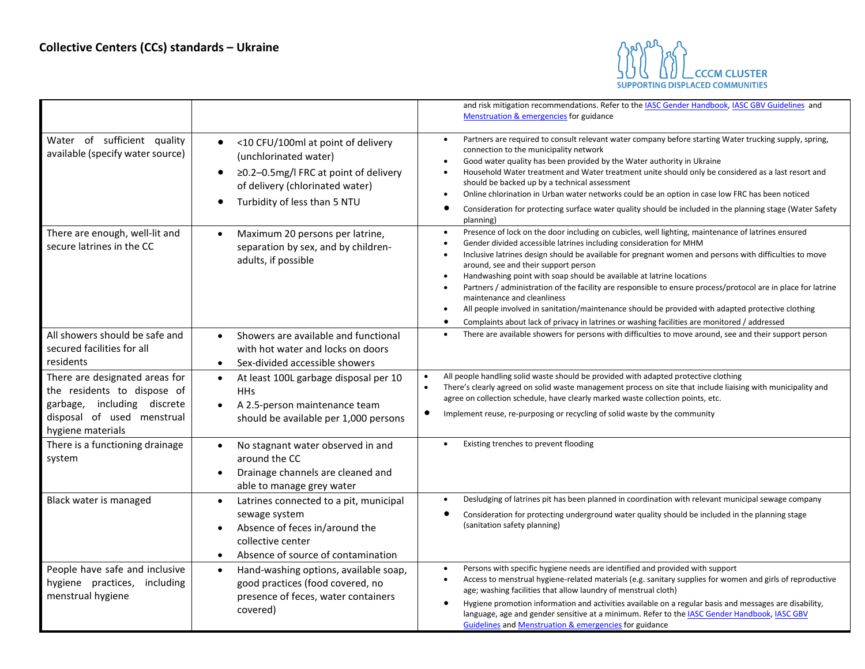

|                                                                                                                                                 |                                                                                                                                                                                                                | and risk mitigation recommendations. Refer to the IASC Gender Handbook, IASC GBV Guidelines and<br>Menstruation & emergencies for guidance                                                                                                                                                                                                                                                                                                                                                                                                                                                                                                                                                                                                                                                     |
|-------------------------------------------------------------------------------------------------------------------------------------------------|----------------------------------------------------------------------------------------------------------------------------------------------------------------------------------------------------------------|------------------------------------------------------------------------------------------------------------------------------------------------------------------------------------------------------------------------------------------------------------------------------------------------------------------------------------------------------------------------------------------------------------------------------------------------------------------------------------------------------------------------------------------------------------------------------------------------------------------------------------------------------------------------------------------------------------------------------------------------------------------------------------------------|
| Water of sufficient quality<br>available (specify water source)                                                                                 | <10 CFU/100ml at point of delivery<br>$\bullet$<br>(unchlorinated water)<br>≥0.2-0.5mg/l FRC at point of delivery<br>$\bullet$<br>of delivery (chlorinated water)<br>Turbidity of less than 5 NTU<br>$\bullet$ | Partners are required to consult relevant water company before starting Water trucking supply, spring,<br>connection to the municipality network<br>Good water quality has been provided by the Water authority in Ukraine<br>Household Water treatment and Water treatment unite should only be considered as a last resort and<br>should be backed up by a technical assessment<br>Online chlorination in Urban water networks could be an option in case low FRC has been noticed<br>Consideration for protecting surface water quality should be included in the planning stage (Water Safety<br>٠<br>planning)                                                                                                                                                                            |
| There are enough, well-lit and<br>secure latrines in the CC                                                                                     | Maximum 20 persons per latrine,<br>$\bullet$<br>separation by sex, and by children-<br>adults, if possible                                                                                                     | Presence of lock on the door including on cubicles, well lighting, maintenance of latrines ensured<br>$\bullet$<br>Gender divided accessible latrines including consideration for MHM<br>Inclusive latrines design should be available for pregnant women and persons with difficulties to move<br>around, see and their support person<br>Handwashing point with soap should be available at latrine locations<br>$\bullet$<br>Partners / administration of the facility are responsible to ensure process/protocol are in place for latrine<br>maintenance and cleanliness<br>All people involved in sanitation/maintenance should be provided with adapted protective clothing<br>Complaints about lack of privacy in latrines or washing facilities are monitored / addressed<br>$\bullet$ |
| All showers should be safe and<br>secured facilities for all<br>residents                                                                       | Showers are available and functional<br>$\bullet$<br>with hot water and locks on doors<br>Sex-divided accessible showers<br>$\bullet$                                                                          | There are available showers for persons with difficulties to move around, see and their support person                                                                                                                                                                                                                                                                                                                                                                                                                                                                                                                                                                                                                                                                                         |
| There are designated areas for<br>the residents to dispose of<br>garbage, including discrete<br>disposal of used menstrual<br>hygiene materials | At least 100L garbage disposal per 10<br>$\bullet$<br><b>HHs</b><br>A 2.5-person maintenance team<br>should be available per 1,000 persons                                                                     | All people handling solid waste should be provided with adapted protective clothing<br>$\bullet$<br>There's clearly agreed on solid waste management process on site that include liaising with municipality and<br>$\bullet$<br>agree on collection schedule, have clearly marked waste collection points, etc.<br>٠<br>Implement reuse, re-purposing or recycling of solid waste by the community                                                                                                                                                                                                                                                                                                                                                                                            |
| There is a functioning drainage<br>system                                                                                                       | No stagnant water observed in and<br>$\bullet$<br>around the CC<br>Drainage channels are cleaned and<br>$\bullet$<br>able to manage grey water                                                                 | Existing trenches to prevent flooding                                                                                                                                                                                                                                                                                                                                                                                                                                                                                                                                                                                                                                                                                                                                                          |
| Black water is managed                                                                                                                          | Latrines connected to a pit, municipal<br>$\bullet$<br>sewage system<br>Absence of feces in/around the<br>collective center<br>Absence of source of contamination                                              | Desludging of latrines pit has been planned in coordination with relevant municipal sewage company<br>Consideration for protecting underground water quality should be included in the planning stage<br>(sanitation safety planning)                                                                                                                                                                                                                                                                                                                                                                                                                                                                                                                                                          |
| People have safe and inclusive<br>hygiene practices, including<br>menstrual hygiene                                                             | Hand-washing options, available soap,<br>$\bullet$<br>good practices (food covered, no<br>presence of feces, water containers<br>covered)                                                                      | Persons with specific hygiene needs are identified and provided with support<br>$\bullet$<br>Access to menstrual hygiene-related materials (e.g. sanitary supplies for women and girls of reproductive<br>age; washing facilities that allow laundry of menstrual cloth)<br>Hygiene promotion information and activities available on a regular basis and messages are disability,<br>٠<br>language, age and gender sensitive at a minimum. Refer to the IASC Gender Handbook, IASC GBV<br>Guidelines and Menstruation & emergencies for guidance                                                                                                                                                                                                                                              |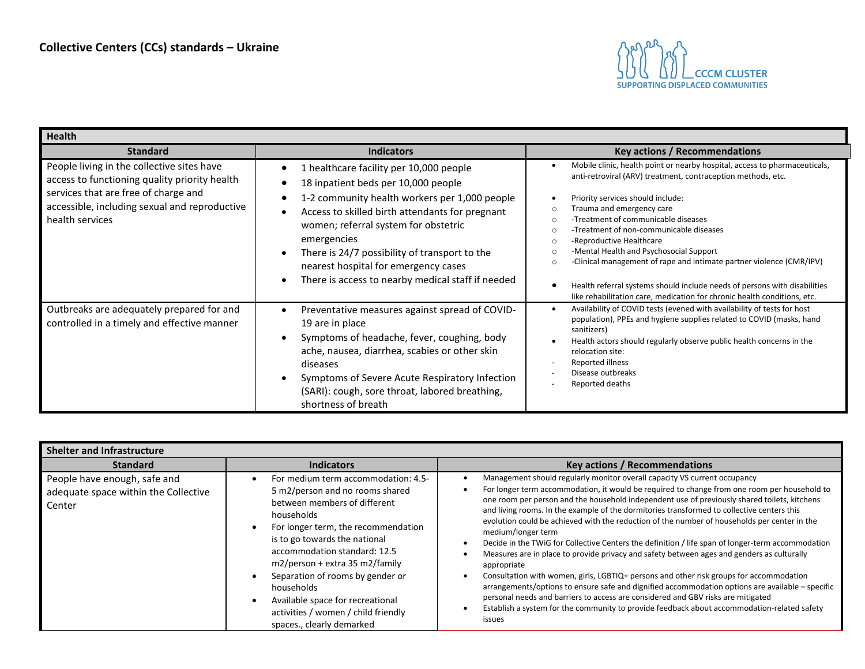

<span id="page-6-0"></span>

| <b>Health</b>                                                                                                                                                                                           |                                                                                                                                                                                                                                                                                                                                                                                                                              |                                                                                                                                                                                                                                                                                                                                                                                                                                                                                                                                                                                                                                                                               |  |
|---------------------------------------------------------------------------------------------------------------------------------------------------------------------------------------------------------|------------------------------------------------------------------------------------------------------------------------------------------------------------------------------------------------------------------------------------------------------------------------------------------------------------------------------------------------------------------------------------------------------------------------------|-------------------------------------------------------------------------------------------------------------------------------------------------------------------------------------------------------------------------------------------------------------------------------------------------------------------------------------------------------------------------------------------------------------------------------------------------------------------------------------------------------------------------------------------------------------------------------------------------------------------------------------------------------------------------------|--|
| <b>Standard</b>                                                                                                                                                                                         | <b>Indicators</b>                                                                                                                                                                                                                                                                                                                                                                                                            | <b>Key actions / Recommendations</b>                                                                                                                                                                                                                                                                                                                                                                                                                                                                                                                                                                                                                                          |  |
| People living in the collective sites have<br>access to functioning quality priority health<br>services that are free of charge and<br>accessible, including sexual and reproductive<br>health services | healthcare facility per 10,000 people<br>18 inpatient beds per 10,000 people<br>1-2 community health workers per 1,000 people<br>Access to skilled birth attendants for pregnant<br>$\bullet$<br>women; referral system for obstetric<br>emergencies<br>There is 24/7 possibility of transport to the<br>$\bullet$<br>nearest hospital for emergency cases<br>There is access to nearby medical staff if needed<br>$\bullet$ | Mobile clinic, health point or nearby hospital, access to pharmaceuticals,<br>anti-retroviral (ARV) treatment, contraception methods, etc.<br>Priority services should include:<br>Trauma and emergency care<br>$\Omega$<br>-Treatment of communicable diseases<br>$\Omega$<br>-Treatment of non-communicable diseases<br>$\Omega$<br>-Reproductive Healthcare<br>$\circ$<br>-Mental Health and Psychosocial Support<br>$\Omega$<br>-Clinical management of rape and intimate partner violence (CMR/IPV)<br>$\Omega$<br>Health referral systems should include needs of persons with disabilities<br>like rehabilitation care, medication for chronic health conditions, etc. |  |
| Outbreaks are adequately prepared for and<br>controlled in a timely and effective manner                                                                                                                | Preventative measures against spread of COVID-<br>$\bullet$<br>19 are in place<br>Symptoms of headache, fever, coughing, body<br>$\bullet$<br>ache, nausea, diarrhea, scabies or other skin<br>diseases<br>Symptoms of Severe Acute Respiratory Infection<br>$\bullet$<br>(SARI): cough, sore throat, labored breathing,<br>shortness of breath                                                                              | Availability of COVID tests (evened with availability of tests for host<br>$\bullet$<br>population), PPEs and hygiene supplies related to COVID (masks, hand<br>sanitizers)<br>Health actors should regularly observe public health concerns in the<br>relocation site:<br>Reported illness<br>Disease outbreaks<br>Reported deaths                                                                                                                                                                                                                                                                                                                                           |  |

<span id="page-6-1"></span>

| Shelter and Infrastructure                                                     |                                                                                                                                                                                                                                                                                                                                                                                                                            |                                                                                                                                                                                                                                                                                                                                                                                                                                                                                                                                                                                                                                                                                                                                                                                                                                                                                                                                                                                                                                                                                                             |
|--------------------------------------------------------------------------------|----------------------------------------------------------------------------------------------------------------------------------------------------------------------------------------------------------------------------------------------------------------------------------------------------------------------------------------------------------------------------------------------------------------------------|-------------------------------------------------------------------------------------------------------------------------------------------------------------------------------------------------------------------------------------------------------------------------------------------------------------------------------------------------------------------------------------------------------------------------------------------------------------------------------------------------------------------------------------------------------------------------------------------------------------------------------------------------------------------------------------------------------------------------------------------------------------------------------------------------------------------------------------------------------------------------------------------------------------------------------------------------------------------------------------------------------------------------------------------------------------------------------------------------------------|
| <b>Standard</b>                                                                | <b>Indicators</b>                                                                                                                                                                                                                                                                                                                                                                                                          | <b>Key actions / Recommendations</b>                                                                                                                                                                                                                                                                                                                                                                                                                                                                                                                                                                                                                                                                                                                                                                                                                                                                                                                                                                                                                                                                        |
| People have enough, safe and<br>adequate space within the Collective<br>Center | For medium term accommodation: 4.5-<br>5 m2/person and no rooms shared<br>between members of different<br>households<br>For longer term, the recommendation<br>is to go towards the national<br>accommodation standard: 12.5<br>$m2/person + extra 35 m2/family$<br>Separation of rooms by gender or<br>households<br>Available space for recreational<br>activities / women / child friendly<br>spaces., clearly demarked | Management should regularly monitor overall capacity VS current occupancy<br>For longer term accommodation, it would be required to change from one room per household to<br>one room per person and the household independent use of previously shared toilets, kitchens<br>and living rooms. In the example of the dormitories transformed to collective centers this<br>evolution could be achieved with the reduction of the number of households per center in the<br>medium/longer term<br>Decide in the TWiG for Collective Centers the definition / life span of longer-term accommodation<br>Measures are in place to provide privacy and safety between ages and genders as culturally<br>appropriate<br>Consultation with women, girls, LGBTIQ+ persons and other risk groups for accommodation<br>arrangements/options to ensure safe and dignified accommodation options are available – specific<br>personal needs and barriers to access are considered and GBV risks are mitigated<br>Establish a system for the community to provide feedback about accommodation-related safety<br>issues |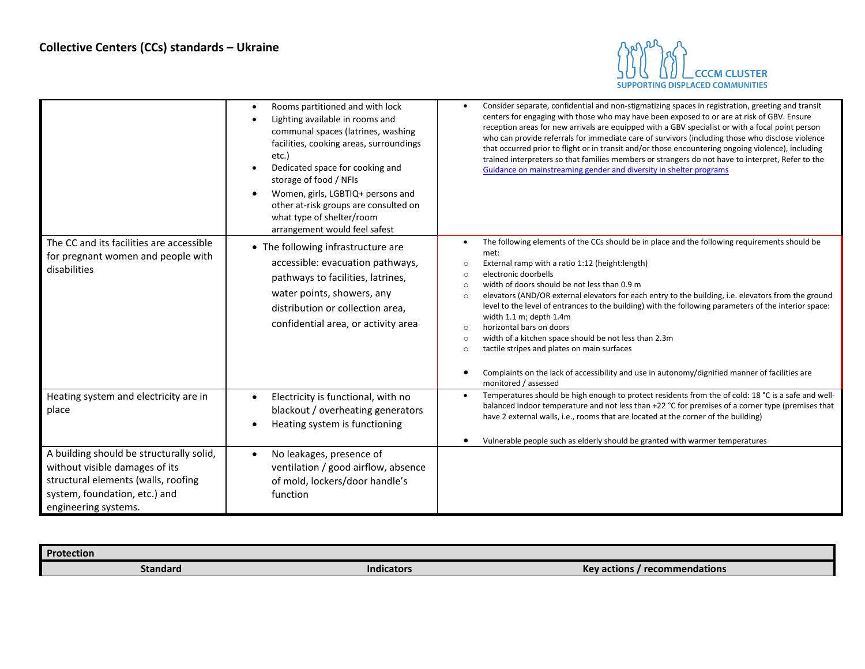

|                                                                                                                                                                            | Rooms partitioned and with lock<br>Lighting available in rooms and<br>communal spaces (latrines, washing<br>facilities, cooking areas, surroundings<br>etc.)<br>Dedicated space for cooking and<br>storage of food / NFIs<br>Women, girls, LGBTIQ+ persons and<br>other at-risk groups are consulted on<br>what type of shelter/room<br>arrangement would feel safest | Consider separate, confidential and non-stigmatizing spaces in registration, greeting and transit<br>centers for engaging with those who may have been exposed to or are at risk of GBV. Ensure<br>reception areas for new arrivals are equipped with a GBV specialist or with a focal point person<br>who can provide referrals for immediate care of survivors (including those who disclose violence<br>that occurred prior to flight or in transit and/or those encountering ongoing violence), including<br>trained interpreters so that families members or strangers do not have to interpret, Refer to the<br>Guidance on mainstreaming gender and diversity in shelter programs                                                                                                                                |
|----------------------------------------------------------------------------------------------------------------------------------------------------------------------------|-----------------------------------------------------------------------------------------------------------------------------------------------------------------------------------------------------------------------------------------------------------------------------------------------------------------------------------------------------------------------|-------------------------------------------------------------------------------------------------------------------------------------------------------------------------------------------------------------------------------------------------------------------------------------------------------------------------------------------------------------------------------------------------------------------------------------------------------------------------------------------------------------------------------------------------------------------------------------------------------------------------------------------------------------------------------------------------------------------------------------------------------------------------------------------------------------------------|
| The CC and its facilities are accessible<br>for pregnant women and people with<br>disabilities                                                                             | • The following infrastructure are<br>accessible: evacuation pathways,<br>pathways to facilities, latrines,<br>water points, showers, any<br>distribution or collection area,<br>confidential area, or activity area                                                                                                                                                  | The following elements of the CCs should be in place and the following requirements should be<br>met:<br>External ramp with a ratio 1:12 (height: length)<br>$\circ$<br>electronic doorbells<br>$\circ$<br>width of doors should be not less than 0.9 m<br>$\circ$<br>elevators (AND/OR external elevators for each entry to the building, i.e. elevators from the ground<br>$\circ$<br>level to the level of entrances to the building) with the following parameters of the interior space:<br>width 1.1 m; depth 1.4m<br>horizontal bars on doors<br>$\circ$<br>width of a kitchen space should be not less than 2.3m<br>$\circ$<br>tactile stripes and plates on main surfaces<br>$\circ$<br>Complaints on the lack of accessibility and use in autonomy/dignified manner of facilities are<br>monitored / assessed |
| Heating system and electricity are in<br>place                                                                                                                             | Electricity is functional, with no<br>blackout / overheating generators<br>Heating system is functioning                                                                                                                                                                                                                                                              | Temperatures should be high enough to protect residents from the of cold: 18 °C is a safe and well-<br>balanced indoor temperature and not less than +22 °C for premises of a corner type (premises that<br>have 2 external walls, i.e., rooms that are located at the corner of the building)<br>Vulnerable people such as elderly should be granted with warmer temperatures                                                                                                                                                                                                                                                                                                                                                                                                                                          |
| A building should be structurally solid,<br>without visible damages of its<br>structural elements (walls, roofing<br>system, foundation, etc.) and<br>engineering systems. | No leakages, presence of<br>ventilation / good airflow, absence<br>of mold, lockers/door handle's<br>function                                                                                                                                                                                                                                                         |                                                                                                                                                                                                                                                                                                                                                                                                                                                                                                                                                                                                                                                                                                                                                                                                                         |

<span id="page-7-0"></span>

| Protection |                   |                                              |
|------------|-------------------|----------------------------------------------|
| Standard   | <b>Indicators</b> | <b>recommendations</b><br><b>Key actions</b> |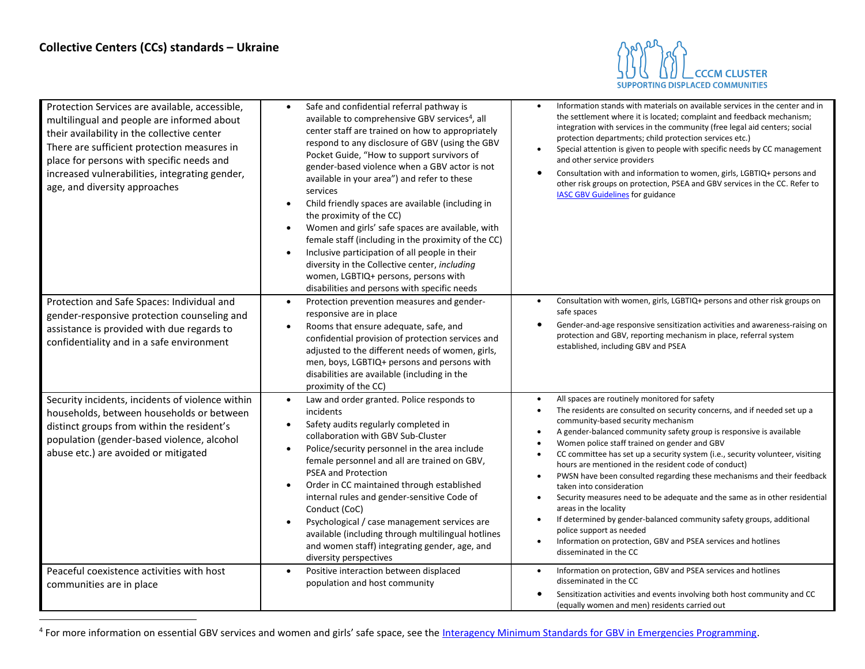

| Protection Services are available, accessible,<br>multilingual and people are informed about<br>their availability in the collective center<br>There are sufficient protection measures in<br>place for persons with specific needs and<br>increased vulnerabilities, integrating gender,<br>age, and diversity approaches | Safe and confidential referral pathway is<br>$\bullet$<br>available to comprehensive GBV services <sup>4</sup> , all<br>center staff are trained on how to appropriately<br>respond to any disclosure of GBV (using the GBV<br>Pocket Guide, "How to support survivors of<br>gender-based violence when a GBV actor is not<br>available in your area") and refer to these<br>services<br>Child friendly spaces are available (including in<br>$\bullet$<br>the proximity of the CC)<br>Women and girls' safe spaces are available, with<br>$\bullet$<br>female staff (including in the proximity of the CC)<br>Inclusive participation of all people in their<br>diversity in the Collective center, including<br>women, LGBTIQ+ persons, persons with | Information stands with materials on available services in the center and in<br>$\bullet$<br>the settlement where it is located; complaint and feedback mechanism;<br>integration with services in the community (free legal aid centers; social<br>protection departments; child protection services etc.)<br>Special attention is given to people with specific needs by CC management<br>and other service providers<br>Consultation with and information to women, girls, LGBTIQ+ persons and<br>$\bullet$<br>other risk groups on protection, PSEA and GBV services in the CC. Refer to<br><b>IASC GBV Guidelines for guidance</b>                                                                                                                                                                                                                                                         |
|----------------------------------------------------------------------------------------------------------------------------------------------------------------------------------------------------------------------------------------------------------------------------------------------------------------------------|--------------------------------------------------------------------------------------------------------------------------------------------------------------------------------------------------------------------------------------------------------------------------------------------------------------------------------------------------------------------------------------------------------------------------------------------------------------------------------------------------------------------------------------------------------------------------------------------------------------------------------------------------------------------------------------------------------------------------------------------------------|-------------------------------------------------------------------------------------------------------------------------------------------------------------------------------------------------------------------------------------------------------------------------------------------------------------------------------------------------------------------------------------------------------------------------------------------------------------------------------------------------------------------------------------------------------------------------------------------------------------------------------------------------------------------------------------------------------------------------------------------------------------------------------------------------------------------------------------------------------------------------------------------------|
| Protection and Safe Spaces: Individual and<br>gender-responsive protection counseling and<br>assistance is provided with due regards to<br>confidentiality and in a safe environment                                                                                                                                       | disabilities and persons with specific needs<br>Protection prevention measures and gender-<br>responsive are in place<br>Rooms that ensure adequate, safe, and<br>confidential provision of protection services and<br>adjusted to the different needs of women, girls,<br>men, boys, LGBTIQ+ persons and persons with<br>disabilities are available (including in the<br>proximity of the CC)                                                                                                                                                                                                                                                                                                                                                         | Consultation with women, girls, LGBTIQ+ persons and other risk groups on<br>$\bullet$<br>safe spaces<br>Gender-and-age responsive sensitization activities and awareness-raising on<br>protection and GBV, reporting mechanism in place, referral system<br>established, including GBV and PSEA                                                                                                                                                                                                                                                                                                                                                                                                                                                                                                                                                                                                 |
| Security incidents, incidents of violence within<br>households, between households or between<br>distinct groups from within the resident's<br>population (gender-based violence, alcohol<br>abuse etc.) are avoided or mitigated                                                                                          | Law and order granted. Police responds to<br>incidents<br>Safety audits regularly completed in<br>collaboration with GBV Sub-Cluster<br>Police/security personnel in the area include<br>$\bullet$<br>female personnel and all are trained on GBV,<br><b>PSEA and Protection</b><br>Order in CC maintained through established<br>$\bullet$<br>internal rules and gender-sensitive Code of<br>Conduct (CoC)<br>Psychological / case management services are<br>available (including through multilingual hotlines<br>and women staff) integrating gender, age, and<br>diversity perspectives                                                                                                                                                           | All spaces are routinely monitored for safety<br>The residents are consulted on security concerns, and if needed set up a<br>$\bullet$<br>community-based security mechanism<br>A gender-balanced community safety group is responsive is available<br>$\bullet$<br>Women police staff trained on gender and GBV<br>CC committee has set up a security system (i.e., security volunteer, visiting<br>hours are mentioned in the resident code of conduct)<br>PWSN have been consulted regarding these mechanisms and their feedback<br>$\bullet$<br>taken into consideration<br>Security measures need to be adequate and the same as in other residential<br>$\bullet$<br>areas in the locality<br>If determined by gender-balanced community safety groups, additional<br>police support as needed<br>Information on protection, GBV and PSEA services and hotlines<br>disseminated in the CC |
| Peaceful coexistence activities with host<br>communities are in place                                                                                                                                                                                                                                                      | Positive interaction between displaced<br>population and host community                                                                                                                                                                                                                                                                                                                                                                                                                                                                                                                                                                                                                                                                                | Information on protection, GBV and PSEA services and hotlines<br>$\bullet$<br>disseminated in the CC<br>Sensitization activities and events involving both host community and CC<br>(equally women and men) residents carried out                                                                                                                                                                                                                                                                                                                                                                                                                                                                                                                                                                                                                                                               |

<sup>&</sup>lt;sup>4</sup> For more information on essential GBV services and women and girls' safe space, see the [Interagency Minimum Standards for GBV in Emergencies Programming.](https://gbvguidelines.org/en/)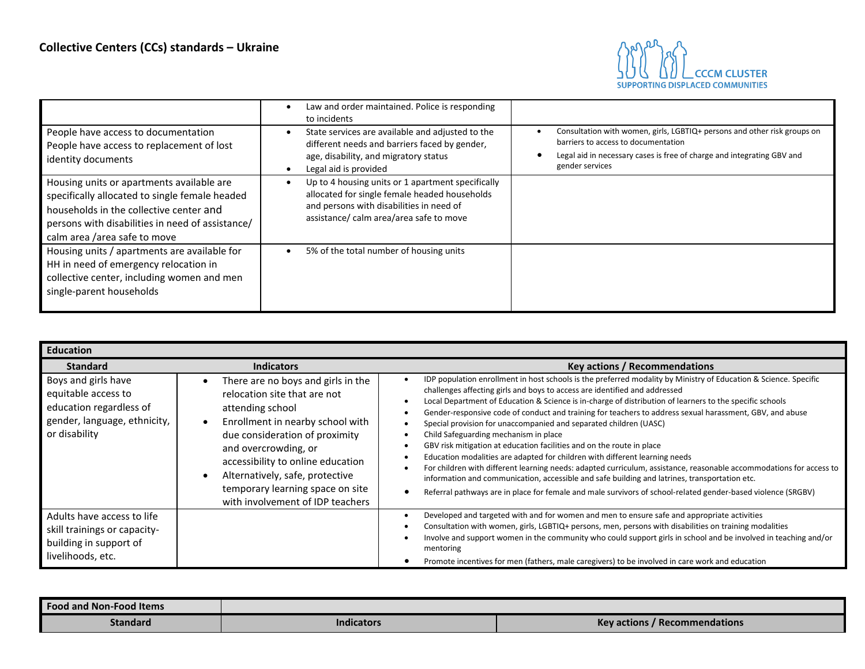

|                                                                                                                                                                                                                            | Law and order maintained. Police is responding<br>to incidents                                                                                                                            |                                                                                                                                                                                                              |
|----------------------------------------------------------------------------------------------------------------------------------------------------------------------------------------------------------------------------|-------------------------------------------------------------------------------------------------------------------------------------------------------------------------------------------|--------------------------------------------------------------------------------------------------------------------------------------------------------------------------------------------------------------|
| People have access to documentation<br>People have access to replacement of lost<br>identity documents                                                                                                                     | State services are available and adjusted to the<br>different needs and barriers faced by gender,<br>age, disability, and migratory status<br>Legal aid is provided                       | Consultation with women, girls, LGBTIQ+ persons and other risk groups on<br>barriers to access to documentation<br>Legal aid in necessary cases is free of charge and integrating GBV and<br>gender services |
| Housing units or apartments available are<br>specifically allocated to single female headed<br>households in the collective center and<br>persons with disabilities in need of assistance/<br>calm area /area safe to move | Up to 4 housing units or 1 apartment specifically<br>allocated for single female headed households<br>and persons with disabilities in need of<br>assistance/ calm area/area safe to move |                                                                                                                                                                                                              |
| Housing units / apartments are available for<br>HH in need of emergency relocation in<br>collective center, including women and men<br>single-parent households                                                            | 5% of the total number of housing units                                                                                                                                                   |                                                                                                                                                                                                              |

<span id="page-9-0"></span>

| <b>Education</b>                                                                                                       |                                                                                                                                                                                                                                                                                                                                      |                                                                                                                                                                                                                                                                                                                                                                                                                                                                                                                                                                                                                                                                                                                                                                                                                                                                                                                                                                                                                                      |
|------------------------------------------------------------------------------------------------------------------------|--------------------------------------------------------------------------------------------------------------------------------------------------------------------------------------------------------------------------------------------------------------------------------------------------------------------------------------|--------------------------------------------------------------------------------------------------------------------------------------------------------------------------------------------------------------------------------------------------------------------------------------------------------------------------------------------------------------------------------------------------------------------------------------------------------------------------------------------------------------------------------------------------------------------------------------------------------------------------------------------------------------------------------------------------------------------------------------------------------------------------------------------------------------------------------------------------------------------------------------------------------------------------------------------------------------------------------------------------------------------------------------|
| <b>Standard</b>                                                                                                        | <b>Indicators</b>                                                                                                                                                                                                                                                                                                                    | Key actions / Recommendations                                                                                                                                                                                                                                                                                                                                                                                                                                                                                                                                                                                                                                                                                                                                                                                                                                                                                                                                                                                                        |
| Boys and girls have<br>equitable access to<br>education regardless of<br>gender, language, ethnicity,<br>or disability | There are no boys and girls in the<br>relocation site that are not<br>attending school<br>Enrollment in nearby school with<br>due consideration of proximity<br>and overcrowding, or<br>accessibility to online education<br>Alternatively, safe, protective<br>temporary learning space on site<br>with involvement of IDP teachers | IDP population enrollment in host schools is the preferred modality by Ministry of Education & Science. Specific<br>challenges affecting girls and boys to access are identified and addressed<br>Local Department of Education & Science is in-charge of distribution of learners to the specific schools<br>Gender-responsive code of conduct and training for teachers to address sexual harassment, GBV, and abuse<br>Special provision for unaccompanied and separated children (UASC)<br>Child Safeguarding mechanism in place<br>GBV risk mitigation at education facilities and on the route in place<br>Education modalities are adapted for children with different learning needs<br>For children with different learning needs: adapted curriculum, assistance, reasonable accommodations for access to<br>information and communication, accessible and safe building and latrines, transportation etc.<br>Referral pathways are in place for female and male survivors of school-related gender-based violence (SRGBV) |
| Adults have access to life<br>skill trainings or capacity-<br>building in support of<br>livelihoods, etc.              |                                                                                                                                                                                                                                                                                                                                      | Developed and targeted with and for women and men to ensure safe and appropriate activities<br>Consultation with women, girls, LGBTIQ+ persons, men, persons with disabilities on training modalities<br>Involve and support women in the community who could support girls in school and be involved in teaching and/or<br>mentoring<br>Promote incentives for men (fathers, male caregivers) to be involved in care work and education                                                                                                                                                                                                                                                                                                                                                                                                                                                                                                                                                                                             |

<span id="page-9-1"></span>

| <b>Food and Non-Food Items</b> |                   |                                      |
|--------------------------------|-------------------|--------------------------------------|
| <b>Standard</b>                | <b>Indicators</b> | <b>Key actions / Recommendations</b> |